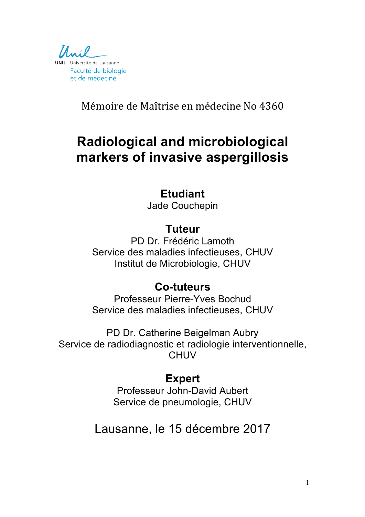

Mémoire de Maîtrise en médecine No 4360

# **Radiological and microbiological markers of invasive aspergillosis**

### **Etudiant**

Jade Couchepin

### **Tuteur**

PD Dr. Frédéric Lamoth Service des maladies infectieuses, CHUV Institut de Microbiologie, CHUV

### **Co-tuteurs**

Professeur Pierre-Yves Bochud Service des maladies infectieuses, CHUV

PD Dr. Catherine Beigelman Aubry Service de radiodiagnostic et radiologie interventionnelle, **CHUV** 

## **Expert**

Professeur John-David Aubert Service de pneumologie, CHUV

# Lausanne, le 15 décembre 2017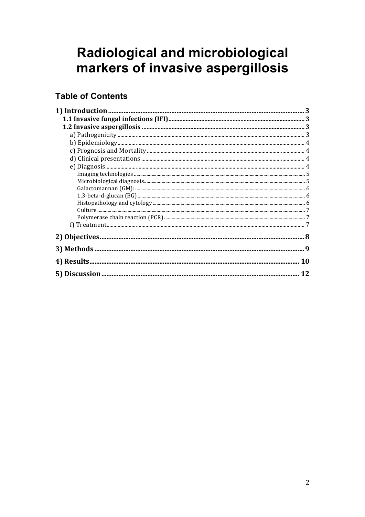# Radiological and microbiological markers of invasive aspergillosis

### **Table of Contents**

| <b>10</b> |
|-----------|
| 12        |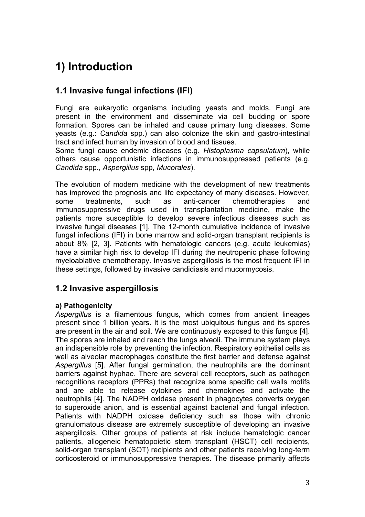## **1) Introduction**

### **1.1 Invasive fungal infections (IFI)**

Fungi are eukaryotic organisms including yeasts and molds. Fungi are present in the environment and disseminate via cell budding or spore formation. Spores can be inhaled and cause primary lung diseases. Some yeasts (e.g.: *Candida* spp.) can also colonize the skin and gastro-intestinal tract and infect human by invasion of blood and tissues.

Some fungi cause endemic diseases (e.g. *Histoplasma capsulatum*), while others cause opportunistic infections in immunosuppressed patients (e.g. *Candida* spp., *Aspergillus* spp, *Mucorales*).

The evolution of modern medicine with the development of new treatments has improved the prognosis and life expectancy of many diseases. However, some treatments, such as anti-cancer chemotherapies and immunosuppressive drugs used in transplantation medicine, make the patients more susceptible to develop severe infectious diseases such as invasive fungal diseases [1]. The 12-month cumulative incidence of invasive fungal infections (IFI) in bone marrow and solid-organ transplant recipients is about 8% [2, 3]. Patients with hematologic cancers (e.g. acute leukemias) have a similar high risk to develop IFI during the neutropenic phase following myeloablative chemotherapy. Invasive aspergillosis is the most frequent IFI in these settings, followed by invasive candidiasis and mucormycosis.

### **1.2 Invasive aspergillosis**

### **a) Pathogenicity**

*Aspergillus* is a filamentous fungus, which comes from ancient lineages present since 1 billion years. It is the most ubiquitous fungus and its spores are present in the air and soil. We are continuously exposed to this fungus [4]. The spores are inhaled and reach the lungs alveoli. The immune system plays an indispensible role by preventing the infection. Respiratory epithelial cells as well as alveolar macrophages constitute the first barrier and defense against *Aspergillus* [5]. After fungal germination, the neutrophils are the dominant barriers against hyphae. There are several cell receptors, such as pathogen recognitions receptors (PPRs) that recognize some specific cell walls motifs and are able to release cytokines and chemokines and activate the neutrophils [4]. The NADPH oxidase present in phagocytes converts oxygen to superoxide anion, and is essential against bacterial and fungal infection. Patients with NADPH oxidase deficiency such as those with chronic granulomatous disease are extremely susceptible of developing an invasive aspergillosis. Other groups of patients at risk include hematologic cancer patients, allogeneic hematopoietic stem transplant (HSCT) cell recipients, solid-organ transplant (SOT) recipients and other patients receiving long-term corticosteroid or immunosuppressive therapies. The disease primarily affects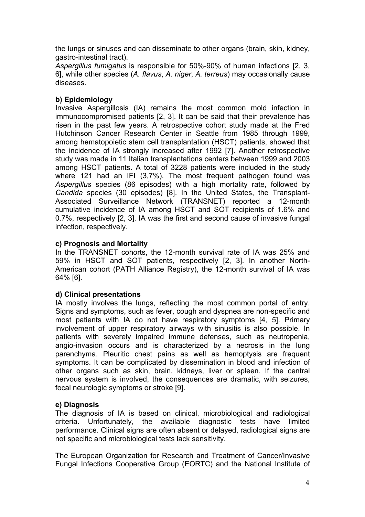the lungs or sinuses and can disseminate to other organs (brain, skin, kidney, gastro-intestinal tract).

*Aspergillus fumigatus* is responsible for 50%-90% of human infections [2, 3, 6], while other species (*A. flavus*, *A. niger*, *A. terreus*) may occasionally cause diseases.

### **b) Epidemiology**

Invasive Aspergillosis (IA) remains the most common mold infection in immunocompromised patients [2, 3]. It can be said that their prevalence has risen in the past few years. A retrospective cohort study made at the Fred Hutchinson Cancer Research Center in Seattle from 1985 through 1999, among hematopoietic stem cell transplantation (HSCT) patients, showed that the incidence of IA strongly increased after 1992 [7]. Another retrospective study was made in 11 Italian transplantations centers between 1999 and 2003 among HSCT patients. A total of 3228 patients were included in the study where 121 had an IFI (3,7%). The most frequent pathogen found was *Aspergillus* species (86 episodes) with a high mortality rate, followed by *Candida* species (30 episodes) [8]. In the United States, the Transplant-Associated Surveillance Network (TRANSNET) reported a 12-month cumulative incidence of IA among HSCT and SOT recipients of 1.6% and 0.7%, respectively [2, 3]. IA was the first and second cause of invasive fungal infection, respectively.

### **c) Prognosis and Mortality**

In the TRANSNET cohorts, the 12-month survival rate of IA was 25% and 59% in HSCT and SOT patients, respectively [2, 3]. In another North-American cohort (PATH Alliance Registry), the 12-month survival of IA was 64% [6].

#### **d) Clinical presentations**

IA mostly involves the lungs, reflecting the most common portal of entry. Signs and symptoms, such as fever, cough and dyspnea are non-specific and most patients with IA do not have respiratory symptoms [4, 5]. Primary involvement of upper respiratory airways with sinusitis is also possible. In patients with severely impaired immune defenses, such as neutropenia, angio-invasion occurs and is characterized by a necrosis in the lung parenchyma. Pleuritic chest pains as well as hemoptysis are frequent symptoms. It can be complicated by dissemination in blood and infection of other organs such as skin, brain, kidneys, liver or spleen. If the central nervous system is involved, the consequences are dramatic, with seizures, focal neurologic symptoms or stroke [9].

#### **e) Diagnosis**

The diagnosis of IA is based on clinical, microbiological and radiological criteria. Unfortunately, the available diagnostic tests have limited performance. Clinical signs are often absent or delayed, radiological signs are not specific and microbiological tests lack sensitivity.

The European Organization for Research and Treatment of Cancer/Invasive Fungal Infections Cooperative Group (EORTC) and the National Institute of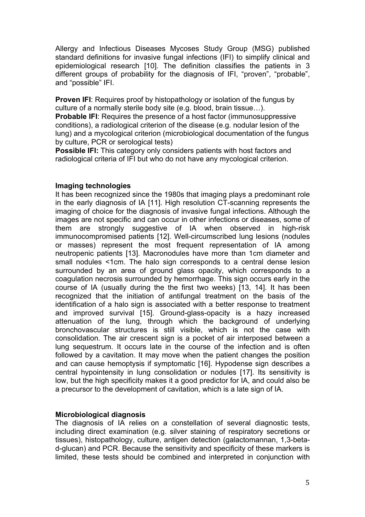Allergy and Infectious Diseases Mycoses Study Group (MSG) published standard definitions for invasive fungal infections (IFI) to simplify clinical and epidemiological research [10]. The definition classifies the patients in 3 different groups of probability for the diagnosis of IFI, "proven", "probable", and "possible" IFI.

**Proven IFI:** Requires proof by histopathology or isolation of the fungus by culture of a normally sterile body site (e.g. blood, brain tissue…).

**Probable IFI:** Requires the presence of a host factor (immunosuppressive conditions), a radiological criterion of the disease (e.g. nodular lesion of the lung) and a mycological criterion (microbiological documentation of the fungus by culture, PCR or serological tests)

**Possible IFI:** This category only considers patients with host factors and radiological criteria of IFI but who do not have any mycological criterion.

#### **Imaging technologies**

It has been recognized since the 1980s that imaging plays a predominant role in the early diagnosis of IA [11]. High resolution CT-scanning represents the imaging of choice for the diagnosis of invasive fungal infections. Although the images are not specific and can occur in other infections or diseases, some of them are strongly suggestive of IA when observed in high-risk immunocompromised patients [12]. Well-circumscribed lung lesions (nodules or masses) represent the most frequent representation of IA among neutropenic patients [13]. Macronodules have more than 1cm diameter and small nodules <1cm. The halo sign corresponds to a central dense lesion surrounded by an area of ground glass opacity, which corresponds to a coagulation necrosis surrounded by hemorrhage. This sign occurs early in the course of IA (usually during the the first two weeks) [13, 14]. It has been recognized that the initiation of antifungal treatment on the basis of the identification of a halo sign is associated with a better response to treatment and improved survival [15]. Ground-glass-opacity is a hazy increased attenuation of the lung, through which the background of underlying bronchovascular structures is still visible, which is not the case with consolidation. The air crescent sign is a pocket of air interposed between a lung sequestrum. It occurs late in the course of the infection and is often followed by a cavitation. It may move when the patient changes the position and can cause hemoptysis if symptomatic [16]. Hypodense sign describes a central hypointensity in lung consolidation or nodules [17]. Its sensitivity is low, but the high specificity makes it a good predictor for IA, and could also be a precursor to the development of cavitation, which is a late sign of IA.

#### **Microbiological diagnosis**

The diagnosis of IA relies on a constellation of several diagnostic tests, including direct examination (e.g. silver staining of respiratory secretions or tissues), histopathology, culture, antigen detection (galactomannan, 1,3-betad-glucan) and PCR. Because the sensitivity and specificity of these markers is limited, these tests should be combined and interpreted in conjunction with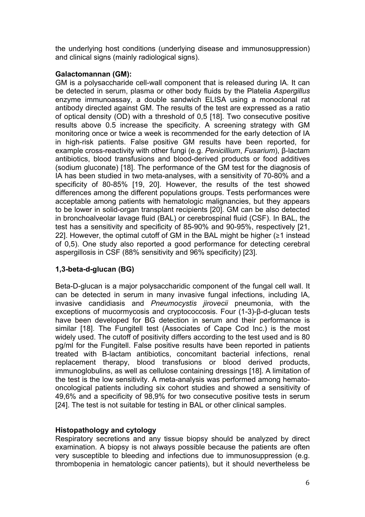the underlying host conditions (underlying disease and immunosuppression) and clinical signs (mainly radiological signs).

### **Galactomannan (GM):**

GM is a polysaccharide cell-wall component that is released during IA. It can be detected in serum, plasma or other body fluids by the Platelia *Aspergillus* enzyme immunoassay, a double sandwich ELISA using a monoclonal rat antibody directed against GM. The results of the test are expressed as a ratio of optical density (OD) with a threshold of 0,5 [18]. Two consecutive positive results above 0.5 increase the specificity. A screening strategy with GM monitoring once or twice a week is recommended for the early detection of IA in high-risk patients. False positive GM results have been reported, for example cross-reactivity with other fungi (e.g. *Penicillium*, *Fusarium*), β-lactam antibiotics, blood transfusions and blood-derived products or food additives (sodium gluconate) [18]. The performance of the GM test for the diagnosis of IA has been studied in two meta-analyses, with a sensitivity of 70-80% and a specificity of 80-85% [19, 20]. However, the results of the test showed differences among the different populations groups. Tests performances were acceptable among patients with hematologic malignancies, but they appears to be lower in solid-organ transplant recipients [20]. GM can be also detected in bronchoalveolar lavage fluid (BAL) or cerebrospinal fluid (CSF). In BAL, the test has a sensitivity and specificity of 85-90% and 90-95%, respectively [21, 22]. However, the optimal cutoff of GM in the BAL might be higher (≥1 instead of 0,5). One study also reported a good performance for detecting cerebral aspergillosis in CSF (88% sensitivity and 96% specificity) [23].

### **1,3-beta-d-glucan (BG)**

Beta-D-glucan is a major polysaccharidic component of the fungal cell wall. It can be detected in serum in many invasive fungal infections, including IA, invasive candidiasis and *Pneumocystis jirovecii* pneumonia, with the exceptions of mucormycosis and cryptococcosis. Four (1-3)-β-d-glucan tests have been developed for BG detection in serum and their performance is similar [18]. The Fungitell test (Associates of Cape Cod Inc.) is the most widely used. The cutoff of positivity differs according to the test used and is 80 pg/ml for the Fungitell. False positive results have been reported in patients treated with B-lactam antibiotics, concomitant bacterial infections, renal replacement therapy, blood transfusions or blood derived products, immunoglobulins, as well as cellulose containing dressings [18]. A limitation of the test is the low sensitivity. A meta-analysis was performed among hematooncological patients including six cohort studies and showed a sensitivity of 49,6% and a specificity of 98,9% for two consecutive positive tests in serum [24]. The test is not suitable for testing in BAL or other clinical samples.

### **Histopathology and cytology**

Respiratory secretions and any tissue biopsy should be analyzed by direct examination. A biopsy is not always possible because the patients are often very susceptible to bleeding and infections due to immunosuppression (e.g. thrombopenia in hematologic cancer patients), but it should nevertheless be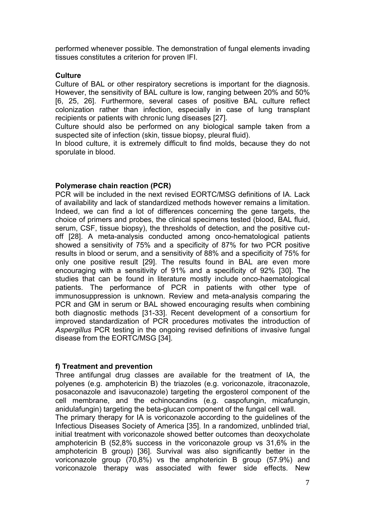performed whenever possible. The demonstration of fungal elements invading tissues constitutes a criterion for proven IFI.

#### **Culture**

Culture of BAL or other respiratory secretions is important for the diagnosis. However, the sensitivity of BAL culture is low, ranging between 20% and 50% [6, 25, 26]. Furthermore, several cases of positive BAL culture reflect colonization rather than infection, especially in case of lung transplant recipients or patients with chronic lung diseases [27].

Culture should also be performed on any biological sample taken from a suspected site of infection (skin, tissue biopsy, pleural fluid).

In blood culture, it is extremely difficult to find molds, because they do not sporulate in blood.

#### **Polymerase chain reaction (PCR)**

PCR will be included in the next revised EORTC/MSG definitions of IA. Lack of availability and lack of standardized methods however remains a limitation. Indeed, we can find a lot of differences concerning the gene targets, the choice of primers and probes, the clinical specimens tested (blood, BAL fluid, serum, CSF, tissue biopsy), the thresholds of detection, and the positive cutoff [28]. A meta-analysis conducted among onco-hematological patients showed a sensitivity of 75% and a specificity of 87% for two PCR positive results in blood or serum, and a sensitivity of 88% and a specificity of 75% for only one positive result [29]. The results found in BAL are even more encouraging with a sensitivity of 91% and a specificity of 92% [30]. The studies that can be found in literature mostly include onco-haematological patients. The performance of PCR in patients with other type of immunosuppression is unknown. Review and meta-analysis comparing the PCR and GM in serum or BAL showed encouraging results when combining both diagnostic methods [31-33]. Recent development of a consortium for improved standardization of PCR procedures motivates the introduction of *Aspergillus* PCR testing in the ongoing revised definitions of invasive fungal disease from the EORTC/MSG [34].

#### **f) Treatment and prevention**

Three antifungal drug classes are available for the treatment of IA, the polyenes (e.g. amphotericin B) the triazoles (e.g. voriconazole, itraconazole, posaconazole and isavuconazole) targeting the ergosterol component of the cell membrane, and the echinocandins (e.g. caspofungin, micafungin, anidulafungin) targeting the beta-glucan component of the fungal cell wall.

The primary therapy for IA is voriconazole according to the guidelines of the Infectious Diseases Society of America [35]. In a randomized, unblinded trial, initial treatment with voriconazole showed better outcomes than deoxycholate amphotericin B (52,8% success in the voriconazole group vs 31,6% in the amphotericin B group) [36]. Survival was also significantly better in the voriconazole group (70,8%) vs the amphotericin B group (57.9%) and voriconazole therapy was associated with fewer side effects. New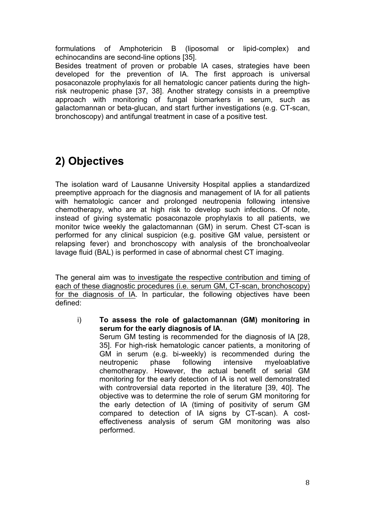formulations of Amphotericin B (liposomal or lipid-complex) and echinocandins are second-line options [35].

Besides treatment of proven or probable IA cases, strategies have been developed for the prevention of IA. The first approach is universal posaconazole prophylaxis for all hematologic cancer patients during the highrisk neutropenic phase [37, 38]. Another strategy consists in a preemptive approach with monitoring of fungal biomarkers in serum, such as galactomannan or beta-glucan, and start further investigations (e.g. CT-scan, bronchoscopy) and antifungal treatment in case of a positive test.

## **2) Objectives**

The isolation ward of Lausanne University Hospital applies a standardized preemptive approach for the diagnosis and management of IA for all patients with hematologic cancer and prolonged neutropenia following intensive chemotherapy, who are at high risk to develop such infections. Of note, instead of giving systematic posaconazole prophylaxis to all patients, we monitor twice weekly the galactomannan (GM) in serum. Chest CT-scan is performed for any clinical suspicion (e.g. positive GM value, persistent or relapsing fever) and bronchoscopy with analysis of the bronchoalveolar lavage fluid (BAL) is performed in case of abnormal chest CT imaging.

The general aim was to investigate the respective contribution and timing of each of these diagnostic procedures (i.e. serum GM, CT-scan, bronchoscopy) for the diagnosis of IA. In particular, the following objectives have been defined:

i) **To assess the role of galactomannan (GM) monitoring in serum for the early diagnosis of IA**. Serum GM testing is recommended for the diagnosis of IA [28, 35]. For high-risk hematologic cancer patients, a monitoring of GM in serum (e.g. bi-weekly) is recommended during the neutropenic phase following intensive myeloablative chemotherapy. However, the actual benefit of serial GM monitoring for the early detection of IA is not well demonstrated with controversial data reported in the literature [39, 40]. The objective was to determine the role of serum GM monitoring for the early detection of IA (timing of positivity of serum GM compared to detection of IA signs by CT-scan). A costeffectiveness analysis of serum GM monitoring was also performed.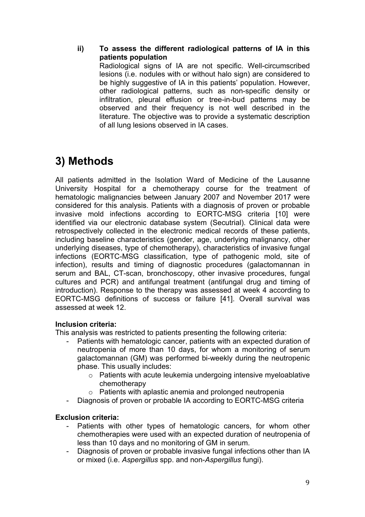**ii) To assess the different radiological patterns of IA in this patients population**

Radiological signs of IA are not specific. Well-circumscribed lesions (i.e. nodules with or without halo sign) are considered to be highly suggestive of IA in this patients' population. However, other radiological patterns, such as non-specific density or infiltration, pleural effusion or tree-in-bud patterns may be observed and their frequency is not well described in the literature. The objective was to provide a systematic description of all lung lesions observed in IA cases.

## **3) Methods**

All patients admitted in the Isolation Ward of Medicine of the Lausanne University Hospital for a chemotherapy course for the treatment of hematologic malignancies between January 2007 and November 2017 were considered for this analysis. Patients with a diagnosis of proven or probable invasive mold infections according to EORTC-MSG criteria [10] were identified via our electronic database system (Secutrial). Clinical data were retrospectively collected in the electronic medical records of these patients, including baseline characteristics (gender, age, underlying malignancy, other underlying diseases, type of chemotherapy), characteristics of invasive fungal infections (EORTC-MSG classification, type of pathogenic mold, site of infection), results and timing of diagnostic procedures (galactomannan in serum and BAL, CT-scan, bronchoscopy, other invasive procedures, fungal cultures and PCR) and antifungal treatment (antifungal drug and timing of introduction). Response to the therapy was assessed at week 4 according to EORTC-MSG definitions of success or failure [41]. Overall survival was assessed at week 12.

### **Inclusion criteria:**

This analysis was restricted to patients presenting the following criteria:

- Patients with hematologic cancer, patients with an expected duration of neutropenia of more than 10 days, for whom a monitoring of serum galactomannan (GM) was performed bi-weekly during the neutropenic phase. This usually includes:
	- o Patients with acute leukemia undergoing intensive myeloablative chemotherapy
	- o Patients with aplastic anemia and prolonged neutropenia
- Diagnosis of proven or probable IA according to EORTC-MSG criteria

### **Exclusion criteria:**

- Patients with other types of hematologic cancers, for whom other chemotherapies were used with an expected duration of neutropenia of less than 10 days and no monitoring of GM in serum.
- Diagnosis of proven or probable invasive fungal infections other than IA or mixed (i.e. *Aspergillus* spp. and non-*Aspergillus* fungi).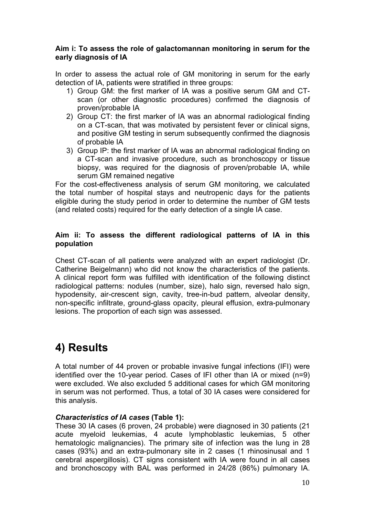#### **Aim i: To assess the role of galactomannan monitoring in serum for the early diagnosis of IA**

In order to assess the actual role of GM monitoring in serum for the early detection of IA, patients were stratified in three groups:

- 1) Group GM: the first marker of IA was a positive serum GM and CTscan (or other diagnostic procedures) confirmed the diagnosis of proven/probable IA
- 2) Group CT: the first marker of IA was an abnormal radiological finding on a CT-scan, that was motivated by persistent fever or clinical signs, and positive GM testing in serum subsequently confirmed the diagnosis of probable IA
- 3) Group IP: the first marker of IA was an abnormal radiological finding on a CT-scan and invasive procedure, such as bronchoscopy or tissue biopsy, was required for the diagnosis of proven/probable IA, while serum GM remained negative

For the cost-effectiveness analysis of serum GM monitoring, we calculated the total number of hospital stays and neutropenic days for the patients eligible during the study period in order to determine the number of GM tests (and related costs) required for the early detection of a single IA case.

### **Aim ii: To assess the different radiological patterns of IA in this population**

Chest CT-scan of all patients were analyzed with an expert radiologist (Dr. Catherine Beigelmann) who did not know the characteristics of the patients. A clinical report form was fulfilled with identification of the following distinct radiological patterns: nodules (number, size), halo sign, reversed halo sign, hypodensity, air-crescent sign, cavity, tree-in-bud pattern, alveolar density, non-specific infiltrate, ground-glass opacity, pleural effusion, extra-pulmonary lesions. The proportion of each sign was assessed.

## **4) Results**

A total number of 44 proven or probable invasive fungal infections (IFI) were identified over the 10-year period. Cases of IFI other than IA or mixed (n=9) were excluded. We also excluded 5 additional cases for which GM monitoring in serum was not performed. Thus, a total of 30 IA cases were considered for this analysis.

### *Characteristics of IA cases* **(Table 1):**

These 30 IA cases (6 proven, 24 probable) were diagnosed in 30 patients (21 acute myeloid leukemias, 4 acute lymphoblastic leukemias, 5 other hematologic malignancies). The primary site of infection was the lung in 28 cases (93%) and an extra-pulmonary site in 2 cases (1 rhinosinusal and 1 cerebral aspergillosis). CT signs consistent with IA were found in all cases and bronchoscopy with BAL was performed in 24/28 (86%) pulmonary IA.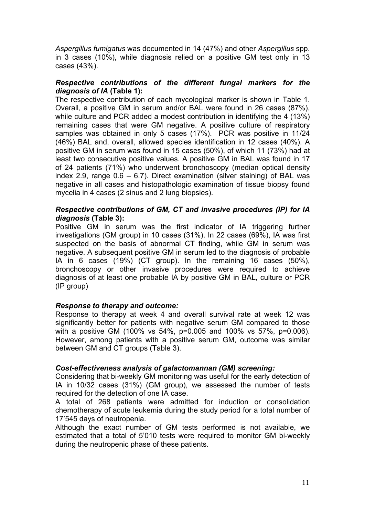*Aspergillus fumigatus* was documented in 14 (47%) and other *Aspergillus* spp. in 3 cases (10%), while diagnosis relied on a positive GM test only in 13 cases (43%).

#### *Respective contributions of the different fungal markers for the diagnosis of IA* **(Table 1):**

The respective contribution of each mycological marker is shown in Table 1. Overall, a positive GM in serum and/or BAL were found in 26 cases (87%), while culture and PCR added a modest contribution in identifying the 4 (13%) remaining cases that were GM negative. A positive culture of respiratory samples was obtained in only 5 cases (17%). PCR was positive in 11/24 (46%) BAL and, overall, allowed species identification in 12 cases (40%). A positive GM in serum was found in 15 cases (50%), of which 11 (73%) had at least two consecutive positive values. A positive GM in BAL was found in 17 of 24 patients (71%) who underwent bronchoscopy (median optical density index 2.9, range  $0.6 - 6.7$ ). Direct examination (silver staining) of BAL was negative in all cases and histopathologic examination of tissue biopsy found mycelia in 4 cases (2 sinus and 2 lung biopsies).

#### *Respective contributions of GM, CT and invasive procedures (IP) for IA diagnosis* **(Table 3):**

Positive GM in serum was the first indicator of IA triggering further investigations (GM group) in 10 cases (31%). In 22 cases (69%), IA was first suspected on the basis of abnormal CT finding, while GM in serum was negative. A subsequent positive GM in serum led to the diagnosis of probable IA in 6 cases (19%) (CT group). In the remaining 16 cases (50%), bronchoscopy or other invasive procedures were required to achieve diagnosis of at least one probable IA by positive GM in BAL, culture or PCR (IP group)

#### *Response to therapy and outcome:*

Response to therapy at week 4 and overall survival rate at week 12 was significantly better for patients with negative serum GM compared to those with a positive GM (100% vs 54%, p=0.005 and 100% vs 57%, p=0.006). However, among patients with a positive serum GM, outcome was similar between GM and CT groups (Table 3).

#### *Cost-effectiveness analysis of galactomannan (GM) screening:*

Considering that bi-weekly GM monitoring was useful for the early detection of IA in 10/32 cases (31%) (GM group), we assessed the number of tests required for the detection of one IA case.

A total of 268 patients were admitted for induction or consolidation chemotherapy of acute leukemia during the study period for a total number of 17'545 days of neutropenia.

Although the exact number of GM tests performed is not available, we estimated that a total of 5'010 tests were required to monitor GM bi-weekly during the neutropenic phase of these patients.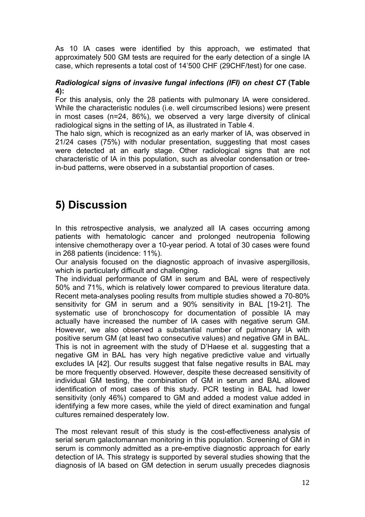As 10 IA cases were identified by this approach, we estimated that approximately 500 GM tests are required for the early detection of a single IA case, which represents a total cost of 14'500 CHF (29CHF/test) for one case.

### *Radiological signs of invasive fungal infections (IFI) on chest CT* **(Table 4):**

For this analysis, only the 28 patients with pulmonary IA were considered. While the characteristic nodules (i.e. well circumscribed lesions) were present in most cases (n=24, 86%), we observed a very large diversity of clinical radiological signs in the setting of IA, as illustrated in Table 4.

The halo sign, which is recognized as an early marker of IA, was observed in 21/24 cases (75%) with nodular presentation, suggesting that most cases were detected at an early stage. Other radiological signs that are not characteristic of IA in this population, such as alveolar condensation or treein-bud patterns, were observed in a substantial proportion of cases.

### **5) Discussion**

In this retrospective analysis, we analyzed all IA cases occurring among patients with hematologic cancer and prolonged neutropenia following intensive chemotherapy over a 10-year period. A total of 30 cases were found in 268 patients (incidence: 11%).

Our analysis focused on the diagnostic approach of invasive aspergillosis, which is particularly difficult and challenging.

The individual performance of GM in serum and BAL were of respectively 50% and 71%, which is relatively lower compared to previous literature data. Recent meta-analyses pooling results from multiple studies showed a 70-80% sensitivity for GM in serum and a 90% sensitivity in BAL [19-21]. The systematic use of bronchoscopy for documentation of possible IA may actually have increased the number of IA cases with negative serum GM. However, we also observed a substantial number of pulmonary IA with positive serum GM (at least two consecutive values) and negative GM in BAL. This is not in agreement with the study of D'Haese et al. suggesting that a negative GM in BAL has very high negative predictive value and virtually excludes IA [42]. Our results suggest that false negative results in BAL may be more frequently observed. However, despite these decreased sensitivity of individual GM testing, the combination of GM in serum and BAL allowed identification of most cases of this study. PCR testing in BAL had lower sensitivity (only 46%) compared to GM and added a modest value added in identifying a few more cases, while the yield of direct examination and fungal cultures remained desperately low.

The most relevant result of this study is the cost-effectiveness analysis of serial serum galactomannan monitoring in this population. Screening of GM in serum is commonly admitted as a pre-emptive diagnostic approach for early detection of IA. This strategy is supported by several studies showing that the diagnosis of IA based on GM detection in serum usually precedes diagnosis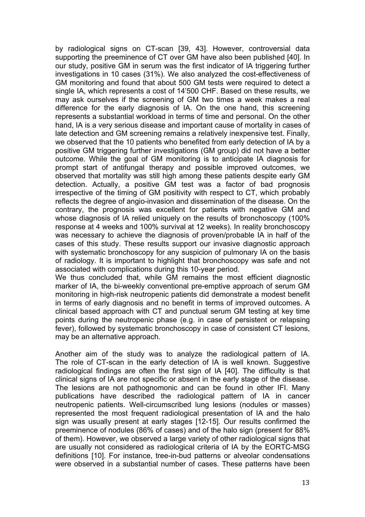by radiological signs on CT-scan [39, 43]. However, controversial data supporting the preeminence of CT over GM have also been published [40]. In our study, positive GM in serum was the first indicator of IA triggering further investigations in 10 cases (31%). We also analyzed the cost-effectiveness of GM monitoring and found that about 500 GM tests were required to detect a single IA, which represents a cost of 14'500 CHF. Based on these results, we may ask ourselves if the screening of GM two times a week makes a real difference for the early diagnosis of IA. On the one hand, this screening represents a substantial workload in terms of time and personal. On the other hand, IA is a very serious disease and important cause of mortality in cases of late detection and GM screening remains a relatively inexpensive test. Finally, we observed that the 10 patients who benefited from early detection of IA by a positive GM triggering further investigations (GM group) did not have a better outcome. While the goal of GM monitoring is to anticipate IA diagnosis for prompt start of antifungal therapy and possible improved outcomes, we observed that mortality was still high among these patients despite early GM detection. Actually, a positive GM test was a factor of bad prognosis irrespective of the timing of GM positivity with respect to CT, which probably reflects the degree of angio-invasion and dissemination of the disease. On the contrary, the prognosis was excellent for patients with negative GM and whose diagnosis of IA relied uniquely on the results of bronchoscopy (100% response at 4 weeks and 100% survival at 12 weeks). In reality bronchoscopy was necessary to achieve the diagnosis of proven/probable IA in half of the cases of this study. These results support our invasive diagnostic approach with systematic bronchoscopy for any suspicion of pulmonary IA on the basis of radiology. It is important to highlight that bronchoscopy was safe and not associated with complications during this 10-year period.

We thus concluded that, while GM remains the most efficient diagnostic marker of IA, the bi-weekly conventional pre-emptive approach of serum GM monitoring in high-risk neutropenic patients did demonstrate a modest benefit in terms of early diagnosis and no benefit in terms of improved outcomes. A clinical based approach with CT and punctual serum GM testing at key time points during the neutropenic phase (e.g. in case of persistent or relapsing fever), followed by systematic bronchoscopy in case of consistent CT lesions, may be an alternative approach.

Another aim of the study was to analyze the radiological pattern of IA. The role of CT-scan in the early detection of IA is well known. Suggestive radiological findings are often the first sign of IA [40]. The difficulty is that clinical signs of IA are not specific or absent in the early stage of the disease. The lesions are not pathognomonic and can be found in other IFI. Many publications have described the radiological pattern of IA in cancer neutropenic patients. Well-circumscribed lung lesions (nodules or masses) represented the most frequent radiological presentation of IA and the halo sign was usually present at early stages [12-15]. Our results confirmed the preeminence of nodules (86% of cases) and of the halo sign (present for 88% of them). However, we observed a large variety of other radiological signs that are usually not considered as radiological criteria of IA by the EORTC-MSG definitions [10]. For instance, tree-in-bud patterns or alveolar condensations were observed in a substantial number of cases. These patterns have been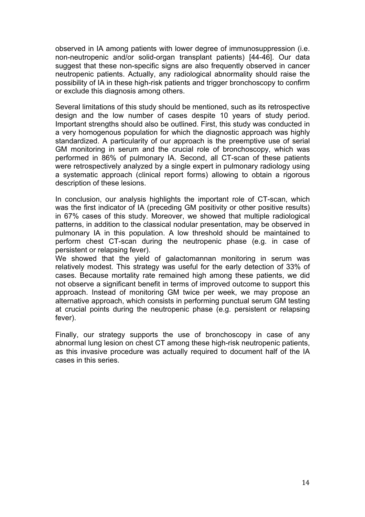observed in IA among patients with lower degree of immunosuppression (i.e. non-neutropenic and/or solid-organ transplant patients) [44-46]. Our data suggest that these non-specific signs are also frequently observed in cancer neutropenic patients. Actually, any radiological abnormality should raise the possibility of IA in these high-risk patients and trigger bronchoscopy to confirm or exclude this diagnosis among others.

Several limitations of this study should be mentioned, such as its retrospective design and the low number of cases despite 10 years of study period. Important strengths should also be outlined. First, this study was conducted in a very homogenous population for which the diagnostic approach was highly standardized. A particularity of our approach is the preemptive use of serial GM monitoring in serum and the crucial role of bronchoscopy, which was performed in 86% of pulmonary IA. Second, all CT-scan of these patients were retrospectively analyzed by a single expert in pulmonary radiology using a systematic approach (clinical report forms) allowing to obtain a rigorous description of these lesions.

In conclusion, our analysis highlights the important role of CT-scan, which was the first indicator of IA (preceding GM positivity or other positive results) in 67% cases of this study. Moreover, we showed that multiple radiological patterns, in addition to the classical nodular presentation, may be observed in pulmonary IA in this population. A low threshold should be maintained to perform chest CT-scan during the neutropenic phase (e.g. in case of persistent or relapsing fever).

We showed that the yield of galactomannan monitoring in serum was relatively modest. This strategy was useful for the early detection of 33% of cases. Because mortality rate remained high among these patients, we did not observe a significant benefit in terms of improved outcome to support this approach. Instead of monitoring GM twice per week, we may propose an alternative approach, which consists in performing punctual serum GM testing at crucial points during the neutropenic phase (e.g. persistent or relapsing fever).

Finally, our strategy supports the use of bronchoscopy in case of any abnormal lung lesion on chest CT among these high-risk neutropenic patients, as this invasive procedure was actually required to document half of the IA cases in this series.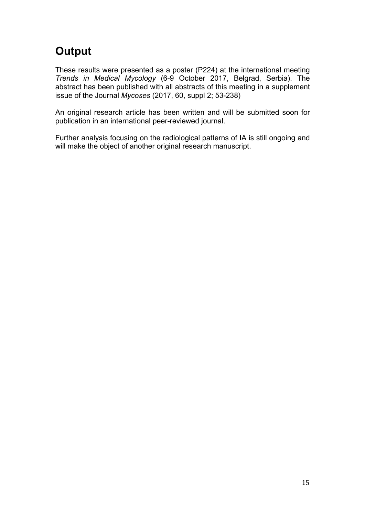## **Output**

These results were presented as a poster (P224) at the international meeting *Trends in Medical Mycology* (6-9 October 2017, Belgrad, Serbia). The abstract has been published with all abstracts of this meeting in a supplement issue of the Journal *Mycoses* (2017, 60, suppl 2; 53-238)

An original research article has been written and will be submitted soon for publication in an international peer-reviewed journal.

Further analysis focusing on the radiological patterns of IA is still ongoing and will make the object of another original research manuscript.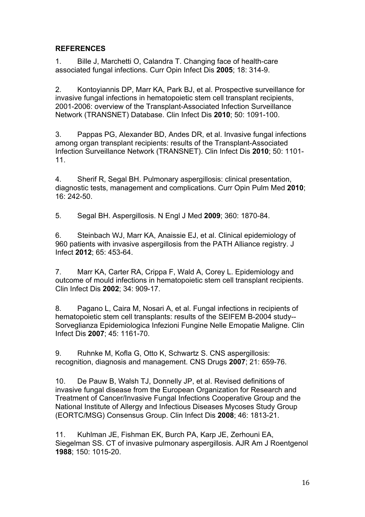### **REFERENCES**

1. Bille J, Marchetti O, Calandra T. Changing face of health-care associated fungal infections. Curr Opin Infect Dis **2005**; 18: 314-9.

2. Kontoyiannis DP, Marr KA, Park BJ, et al. Prospective surveillance for invasive fungal infections in hematopoietic stem cell transplant recipients, 2001-2006: overview of the Transplant-Associated Infection Surveillance Network (TRANSNET) Database. Clin Infect Dis **2010**; 50: 1091-100.

3. Pappas PG, Alexander BD, Andes DR, et al. Invasive fungal infections among organ transplant recipients: results of the Transplant-Associated Infection Surveillance Network (TRANSNET). Clin Infect Dis **2010**; 50: 1101- 11.

4. Sherif R, Segal BH. Pulmonary aspergillosis: clinical presentation, diagnostic tests, management and complications. Curr Opin Pulm Med **2010**; 16: 242-50.

5. Segal BH. Aspergillosis. N Engl J Med **2009**; 360: 1870-84.

6. Steinbach WJ, Marr KA, Anaissie EJ, et al. Clinical epidemiology of 960 patients with invasive aspergillosis from the PATH Alliance registry. J Infect **2012**; 65: 453-64.

7. Marr KA, Carter RA, Crippa F, Wald A, Corey L. Epidemiology and outcome of mould infections in hematopoietic stem cell transplant recipients. Clin Infect Dis **2002**; 34: 909-17.

8. Pagano L, Caira M, Nosari A, et al. Fungal infections in recipients of hematopoietic stem cell transplants: results of the SEIFEM B-2004 study-- Sorveglianza Epidemiologica Infezioni Fungine Nelle Emopatie Maligne. Clin Infect Dis **2007**; 45: 1161-70.

9. Ruhnke M, Kofla G, Otto K, Schwartz S. CNS aspergillosis: recognition, diagnosis and management. CNS Drugs **2007**; 21: 659-76.

10. De Pauw B, Walsh TJ, Donnelly JP, et al. Revised definitions of invasive fungal disease from the European Organization for Research and Treatment of Cancer/Invasive Fungal Infections Cooperative Group and the National Institute of Allergy and Infectious Diseases Mycoses Study Group (EORTC/MSG) Consensus Group. Clin Infect Dis **2008**; 46: 1813-21.

11. Kuhlman JE, Fishman EK, Burch PA, Karp JE, Zerhouni EA, Siegelman SS. CT of invasive pulmonary aspergillosis. AJR Am J Roentgenol **1988**; 150: 1015-20.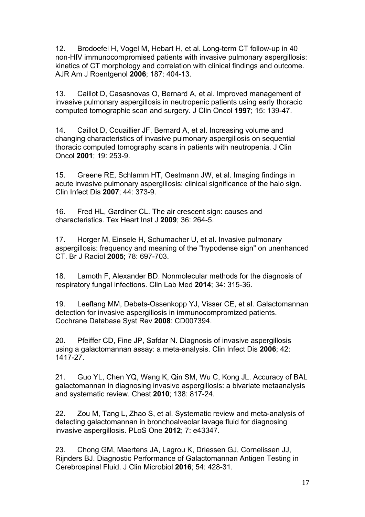12. Brodoefel H, Vogel M, Hebart H, et al. Long-term CT follow-up in 40 non-HIV immunocompromised patients with invasive pulmonary aspergillosis: kinetics of CT morphology and correlation with clinical findings and outcome. AJR Am J Roentgenol **2006**; 187: 404-13.

13. Caillot D, Casasnovas O, Bernard A, et al. Improved management of invasive pulmonary aspergillosis in neutropenic patients using early thoracic computed tomographic scan and surgery. J Clin Oncol **1997**; 15: 139-47.

14. Caillot D, Couaillier JF, Bernard A, et al. Increasing volume and changing characteristics of invasive pulmonary aspergillosis on sequential thoracic computed tomography scans in patients with neutropenia. J Clin Oncol **2001**; 19: 253-9.

15. Greene RE, Schlamm HT, Oestmann JW, et al. Imaging findings in acute invasive pulmonary aspergillosis: clinical significance of the halo sign. Clin Infect Dis **2007**; 44: 373-9.

16. Fred HL, Gardiner CL. The air crescent sign: causes and characteristics. Tex Heart Inst J **2009**; 36: 264-5.

17. Horger M, Einsele H, Schumacher U, et al. Invasive pulmonary aspergillosis: frequency and meaning of the "hypodense sign" on unenhanced CT. Br J Radiol **2005**; 78: 697-703.

18. Lamoth F, Alexander BD. Nonmolecular methods for the diagnosis of respiratory fungal infections. Clin Lab Med **2014**; 34: 315-36.

19. Leeflang MM, Debets-Ossenkopp YJ, Visser CE, et al. Galactomannan detection for invasive aspergillosis in immunocompromized patients. Cochrane Database Syst Rev **2008**: CD007394.

20. Pfeiffer CD, Fine JP, Safdar N. Diagnosis of invasive aspergillosis using a galactomannan assay: a meta-analysis. Clin Infect Dis **2006**; 42: 1417-27.

21. Guo YL, Chen YQ, Wang K, Qin SM, Wu C, Kong JL. Accuracy of BAL galactomannan in diagnosing invasive aspergillosis: a bivariate metaanalysis and systematic review. Chest **2010**; 138: 817-24.

22. Zou M, Tang L, Zhao S, et al. Systematic review and meta-analysis of detecting galactomannan in bronchoalveolar lavage fluid for diagnosing invasive aspergillosis. PLoS One **2012**; 7: e43347.

23. Chong GM, Maertens JA, Lagrou K, Driessen GJ, Cornelissen JJ, Rijnders BJ. Diagnostic Performance of Galactomannan Antigen Testing in Cerebrospinal Fluid. J Clin Microbiol **2016**; 54: 428-31.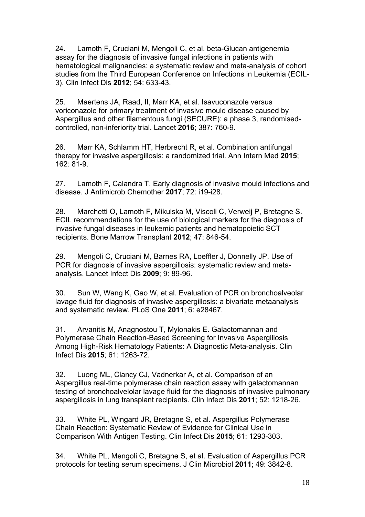24. Lamoth F, Cruciani M, Mengoli C, et al. beta-Glucan antigenemia assay for the diagnosis of invasive fungal infections in patients with hematological malignancies: a systematic review and meta-analysis of cohort studies from the Third European Conference on Infections in Leukemia (ECIL-3). Clin Infect Dis **2012**; 54: 633-43.

25. Maertens JA, Raad, II, Marr KA, et al. Isavuconazole versus voriconazole for primary treatment of invasive mould disease caused by Aspergillus and other filamentous fungi (SECURE): a phase 3, randomisedcontrolled, non-inferiority trial. Lancet **2016**; 387: 760-9.

26. Marr KA, Schlamm HT, Herbrecht R, et al. Combination antifungal therapy for invasive aspergillosis: a randomized trial. Ann Intern Med **2015**; 162: 81-9.

27. Lamoth F, Calandra T. Early diagnosis of invasive mould infections and disease. J Antimicrob Chemother **2017**; 72: i19-i28.

28. Marchetti O, Lamoth F, Mikulska M, Viscoli C, Verweij P, Bretagne S. ECIL recommendations for the use of biological markers for the diagnosis of invasive fungal diseases in leukemic patients and hematopoietic SCT recipients. Bone Marrow Transplant **2012**; 47: 846-54.

29. Mengoli C, Cruciani M, Barnes RA, Loeffler J, Donnelly JP. Use of PCR for diagnosis of invasive aspergillosis: systematic review and metaanalysis. Lancet Infect Dis **2009**; 9: 89-96.

30. Sun W, Wang K, Gao W, et al. Evaluation of PCR on bronchoalveolar lavage fluid for diagnosis of invasive aspergillosis: a bivariate metaanalysis and systematic review. PLoS One **2011**; 6: e28467.

31. Arvanitis M, Anagnostou T, Mylonakis E. Galactomannan and Polymerase Chain Reaction-Based Screening for Invasive Aspergillosis Among High-Risk Hematology Patients: A Diagnostic Meta-analysis. Clin Infect Dis **2015**; 61: 1263-72.

32. Luong ML, Clancy CJ, Vadnerkar A, et al. Comparison of an Aspergillus real-time polymerase chain reaction assay with galactomannan testing of bronchoalvelolar lavage fluid for the diagnosis of invasive pulmonary aspergillosis in lung transplant recipients. Clin Infect Dis **2011**; 52: 1218-26.

33. White PL, Wingard JR, Bretagne S, et al. Aspergillus Polymerase Chain Reaction: Systematic Review of Evidence for Clinical Use in Comparison With Antigen Testing. Clin Infect Dis **2015**; 61: 1293-303.

34. White PL, Mengoli C, Bretagne S, et al. Evaluation of Aspergillus PCR protocols for testing serum specimens. J Clin Microbiol **2011**; 49: 3842-8.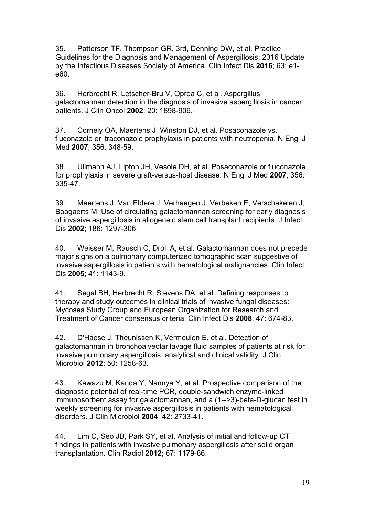35. Patterson TF, Thompson GR, 3rd, Denning DW, et al. Practice Guidelines for the Diagnosis and Management of Aspergillosis: 2016 Update by the Infectious Diseases Society of America. Clin Infect Dis **2016**; 63: e1 e60.

36. Herbrecht R, Letscher-Bru V, Oprea C, et al. Aspergillus galactomannan detection in the diagnosis of invasive aspergillosis in cancer patients. J Clin Oncol **2002**; 20: 1898-906.

37. Cornely OA, Maertens J, Winston DJ, et al. Posaconazole vs. fluconazole or itraconazole prophylaxis in patients with neutropenia. N Engl J Med **2007**; 356: 348-59.

38. Ullmann AJ, Lipton JH, Vesole DH, et al. Posaconazole or fluconazole for prophylaxis in severe graft-versus-host disease. N Engl J Med **2007**; 356: 335-47.

39. Maertens J, Van Eldere J, Verhaegen J, Verbeken E, Verschakelen J, Boogaerts M. Use of circulating galactomannan screening for early diagnosis of invasive aspergillosis in allogeneic stem cell transplant recipients. J Infect Dis **2002**; 186: 1297-306.

40. Weisser M, Rausch C, Droll A, et al. Galactomannan does not precede major signs on a pulmonary computerized tomographic scan suggestive of invasive aspergillosis in patients with hematological malignancies. Clin Infect Dis **2005**; 41: 1143-9.

41. Segal BH, Herbrecht R, Stevens DA, et al. Defining responses to therapy and study outcomes in clinical trials of invasive fungal diseases: Mycoses Study Group and European Organization for Research and Treatment of Cancer consensus criteria. Clin Infect Dis **2008**; 47: 674-83.

42. D'Haese J, Theunissen K, Vermeulen E, et al. Detection of galactomannan in bronchoalveolar lavage fluid samples of patients at risk for invasive pulmonary aspergillosis: analytical and clinical validity. J Clin Microbiol **2012**; 50: 1258-63.

43. Kawazu M, Kanda Y, Nannya Y, et al. Prospective comparison of the diagnostic potential of real-time PCR, double-sandwich enzyme-linked immunosorbent assay for galactomannan, and a (1-->3)-beta-D-glucan test in weekly screening for invasive aspergillosis in patients with hematological disorders. J Clin Microbiol **2004**; 42: 2733-41.

44. Lim C, Seo JB, Park SY, et al. Analysis of initial and follow-up CT findings in patients with invasive pulmonary aspergillosis after solid organ transplantation. Clin Radiol **2012**; 67: 1179-86.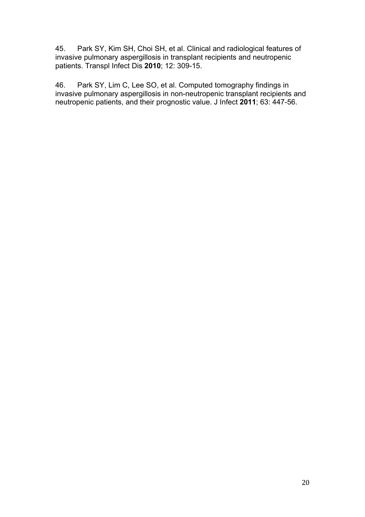45. Park SY, Kim SH, Choi SH, et al. Clinical and radiological features of invasive pulmonary aspergillosis in transplant recipients and neutropenic patients. Transpl Infect Dis **2010**; 12: 309-15.

46. Park SY, Lim C, Lee SO, et al. Computed tomography findings in invasive pulmonary aspergillosis in non-neutropenic transplant recipients and neutropenic patients, and their prognostic value. J Infect **2011**; 63: 447-56.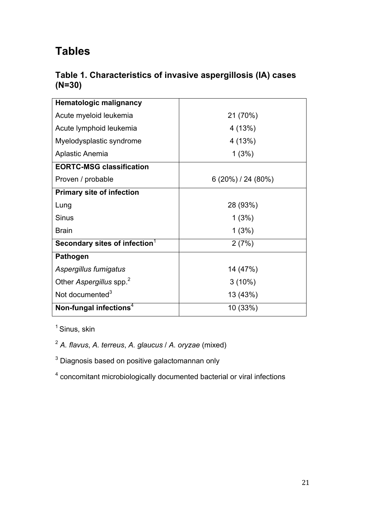## **Tables**

### **Table 1. Characteristics of invasive aspergillosis (IA) cases (N=30)**

| <b>Hematologic malignancy</b>       |                    |  |  |
|-------------------------------------|--------------------|--|--|
| Acute myeloid leukemia              | 21 (70%)           |  |  |
| Acute lymphoid leukemia             | 4(13%)             |  |  |
| Myelodysplastic syndrome            | 4(13%)             |  |  |
| Aplastic Anemia                     | 1(3%)              |  |  |
| <b>EORTC-MSG classification</b>     |                    |  |  |
| Proven / probable                   | $6(20\%)/24(80\%)$ |  |  |
| <b>Primary site of infection</b>    |                    |  |  |
| Lung                                | 28 (93%)           |  |  |
| <b>Sinus</b>                        | 1(3%)              |  |  |
| <b>Brain</b>                        | 1(3%)              |  |  |
| Secondary sites of infection $1$    | 2(7%)              |  |  |
| <b>Pathogen</b>                     |                    |  |  |
| Aspergillus fumigatus               | 14 (47%)           |  |  |
| Other Aspergillus spp. <sup>2</sup> | $3(10\%)$          |  |  |
| Not documented <sup>3</sup>         | 13 (43%)           |  |  |
| Non-fungal infections <sup>4</sup>  | 10 (33%)           |  |  |

<sup>1</sup> Sinus, skin

<sup>2</sup> *A. flavus*, *A. terreus*, *A. glaucus* / *A. oryzae* (mixed)

 $3$  Diagnosis based on positive galactomannan only

<sup>4</sup> concomitant microbiologically documented bacterial or viral infections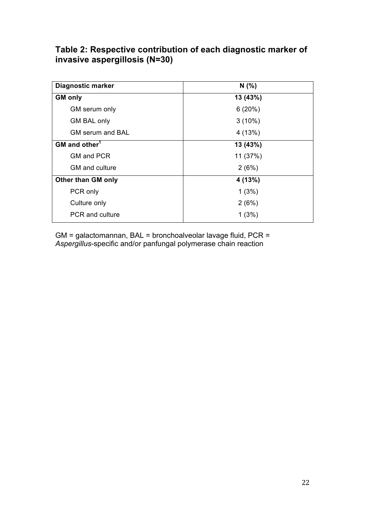### **Table 2: Respective contribution of each diagnostic marker of invasive aspergillosis (N=30)**

| <b>Diagnostic marker</b>  | N(% )     |
|---------------------------|-----------|
| <b>GM only</b>            | 13 (43%)  |
| GM serum only             | 6(20%)    |
| <b>GM BAL only</b>        | $3(10\%)$ |
| <b>GM serum and BAL</b>   | 4(13%)    |
| GM and other <sup>1</sup> | 13 (43%)  |
| <b>GM and PCR</b>         | 11 (37%)  |
| GM and culture            | 2(6%)     |
| <b>Other than GM only</b> | 4 (13%)   |
| PCR only                  | 1(3%)     |
| Culture only              | 2(6%)     |
| <b>PCR</b> and culture    | 1(3%)     |

GM = galactomannan, BAL = bronchoalveolar lavage fluid, PCR = *Aspergillus*-specific and/or panfungal polymerase chain reaction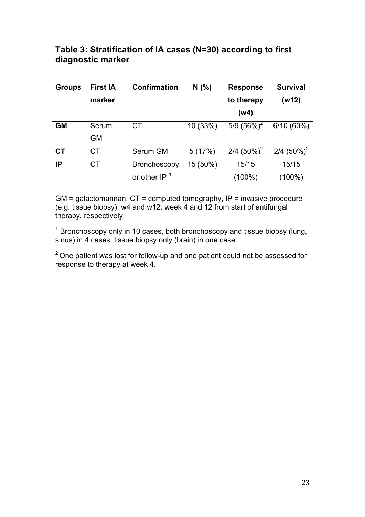### **Table 3: Stratification of IA cases (N=30) according to first diagnostic marker**

| <b>Groups</b> | <b>First IA</b> | <b>Confirmation</b> | N(% )    | <b>Response</b> | <b>Survival</b> |
|---------------|-----------------|---------------------|----------|-----------------|-----------------|
|               | marker          |                     |          | to therapy      | (w12)           |
|               |                 |                     |          | (w4)            |                 |
| <b>GM</b>     | Serum           | <b>CT</b>           | 10 (33%) | 5/9 $(56\%)^2$  | $6/10(60\%)$    |
|               | <b>GM</b>       |                     |          |                 |                 |
| <b>CT</b>     | CT              | Serum GM            | 5(17%)   | 2/4 $(50\%)^2$  | 2/4 $(50\%)^2$  |
| IP            | <b>CT</b>       | <b>Bronchoscopy</b> | 15 (50%) | 15/15           | 15/15           |
|               |                 | or other $IP1$      |          | $(100\%)$       | $(100\%)$       |

 $GM = galactomannan, CT = computed tomography, IP = invasive procedure$ (e.g. tissue biopsy), w4 and w12: week 4 and 12 from start of antifungal therapy, respectively.

<sup>1</sup> Bronchoscopy only in 10 cases, both bronchoscopy and tissue biopsy (lung, sinus) in 4 cases, tissue biopsy only (brain) in one case.

 $2^2$  One patient was lost for follow-up and one patient could not be assessed for response to therapy at week 4.